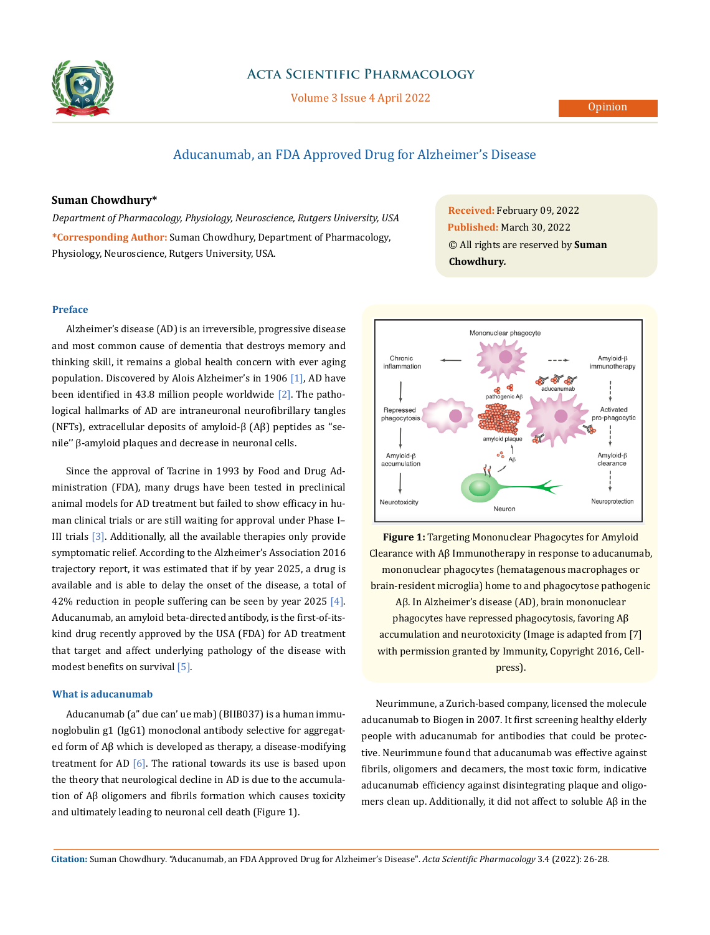

## **Acta Scientific Pharmacology**

Volume 3 Issue 4 April 2022

# Aducanumab, an FDA Approved Drug for Alzheimer's Disease

## **Suman Chowdhury\***

*Department of Pharmacology, Physiology, Neuroscience, Rutgers University, USA* **\*Corresponding Author:** Suman Chowdhury, Department of Pharmacology, Physiology, Neuroscience, Rutgers University, USA.

**Preface**

Alzheimer's disease (AD) is an irreversible, progressive disease and most common cause of dementia that destroys memory and thinking skill, it remains a global health concern with ever aging population. Discovered by Alois Alzheimer's in 1906 [1], AD have been identified in 43.8 million people worldwide  $[2]$ . The pathological hallmarks of AD are intraneuronal neurofibrillary tangles (NFTs), extracellular deposits of amyloid-β (Aβ) peptides as ''senile'' β-amyloid plaques and decrease in neuronal cells.

Since the approval of Tacrine in 1993 by Food and Drug Administration (FDA), many drugs have been tested in preclinical animal models for AD treatment but failed to show efficacy in human clinical trials or are still waiting for approval under Phase I– III trials [3]. Additionally, all the available therapies only provide symptomatic relief. According to the Alzheimer's Association 2016 trajectory report, it was estimated that if by year 2025, a drug is available and is able to delay the onset of the disease, a total of 42% reduction in people suffering can be seen by year 2025  $[4]$ . Aducanumab, an amyloid beta-directed antibody, is the first-of-itskind drug recently approved by the USA (FDA) for AD treatment that target and affect underlying pathology of the disease with modest benefits on survival [5].

## **What is aducanumab**

Aducanumab (a" due can' ue mab) (BIIB037) is a human immunoglobulin g1 (IgG1) monoclonal antibody selective for aggregated form of Aβ which is developed as therapy, a disease-modifying treatment for AD  $[6]$ . The rational towards its use is based upon the theory that neurological decline in AD is due to the accumulation of Aβ oligomers and fibrils formation which causes toxicity and ultimately leading to neuronal cell death (Figure 1).

**Received:** February 09, 2022 **Published:** March 30, 2022 © All rights are reserved by **Suman Chowdhury***.* 



**Figure 1:** Targeting Mononuclear Phagocytes for Amyloid Clearance with Aβ Immunotherapy in response to aducanumab, mononuclear phagocytes (hematagenous macrophages or brain-resident microglia) home to and phagocytose pathogenic Aβ. In Alzheimer's disease (AD), brain mononuclear phagocytes have repressed phagocytosis, favoring Aβ accumulation and neurotoxicity (Image is adapted from [7] with permission granted by Immunity, Copyright 2016, Cellpress).

Neurimmune, a Zurich-based company, licensed the molecule aducanumab to Biogen in 2007. It first screening healthy elderly people with aducanumab for antibodies that could be protective. Neurimmune found that aducanumab was effective against fibrils, oligomers and decamers, the most toxic form, indicative aducanumab efficiency against disintegrating plaque and oligomers clean up. Additionally, it did not affect to soluble Aβ in the

**Citation:** Suman Chowdhury*.* "Aducanumab, an FDA Approved Drug for Alzheimer's Disease". *Acta Scientific Pharmacology* 3.4 (2022): 26-28.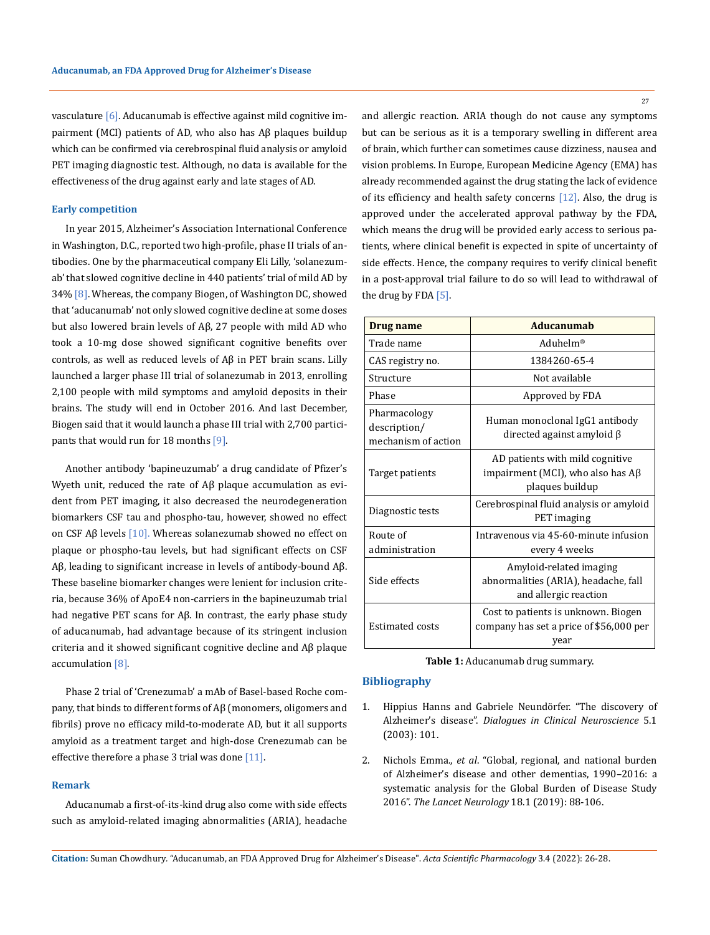vasculature [6]. Aducanumab is effective against mild cognitive impairment (MCI) patients of AD, who also has Aβ plaques buildup which can be confirmed via cerebrospinal fluid analysis or amyloid PET imaging diagnostic test. Although, no data is available for the effectiveness of the drug against early and late stages of AD.

### **Early competition**

In year 2015, Alzheimer's Association International Conference in Washington, D.C., reported two high-profile, phase II trials of antibodies. One by the pharmaceutical company Eli Lilly, 'solanezumab' that slowed cognitive decline in 440 patients' trial of mild AD by 34% [8]. Whereas, the company Biogen, of Washington DC, showed that 'aducanumab' not only slowed cognitive decline at some doses but also lowered brain levels of Aβ, 27 people with mild AD who took a 10-mg dose showed significant cognitive benefits over controls, as well as reduced levels of Aβ in PET brain scans. Lilly launched a larger phase III trial of solanezumab in 2013, enrolling 2,100 people with mild symptoms and amyloid deposits in their brains. The study will end in October 2016. And last December, Biogen said that it would launch a phase III trial with 2,700 participants that would run for 18 months [9].

Another antibody 'bapineuzumab' a drug candidate of Pfizer's Wyeth unit, reduced the rate of Aβ plaque accumulation as evident from PET imaging, it also decreased the neurodegeneration biomarkers CSF tau and phospho-tau, however, showed no effect on CSF A $\beta$  levels [10]. Whereas solanezumab showed no effect on plaque or phospho-tau levels, but had significant effects on CSF Aβ, leading to significant increase in levels of antibody-bound Aβ. These baseline biomarker changes were lenient for inclusion criteria, because 36% of ApoE4 non-carriers in the bapineuzumab trial had negative PET scans for Aβ. In contrast, the early phase study of aducanumab, had advantage because of its stringent inclusion criteria and it showed significant cognitive decline and Aβ plaque accumulation [8].

Phase 2 trial of 'Crenezumab' a mAb of Basel-based Roche company, that binds to different forms of Aβ (monomers, oligomers and fibrils) prove no efficacy mild-to-moderate AD, but it all supports amyloid as a treatment target and high-dose Crenezumab can be effective therefore a phase 3 trial was done  $[11]$ .

#### **Remark**

Aducanumab a first-of-its-kind drug also come with side effects such as amyloid-related imaging abnormalities (ARIA), headache and allergic reaction. ARIA though do not cause any symptoms but can be serious as it is a temporary swelling in different area of brain, which further can sometimes cause dizziness, nausea and vision problems. In Europe, European Medicine Agency (EMA) has already recommended against the drug stating the lack of evidence of its efficiency and health safety concerns [12]. Also, the drug is approved under the accelerated approval pathway by the FDA, which means the drug will be provided early access to serious patients, where clinical benefit is expected in spite of uncertainty of side effects. Hence, the company requires to verify clinical benefit in a post-approval trial failure to do so will lead to withdrawal of the drug by FDA [5].

| Drug name                                           | Aducanumab                                                                                    |
|-----------------------------------------------------|-----------------------------------------------------------------------------------------------|
| Trade name                                          | Aduhelm <sup>®</sup>                                                                          |
| CAS registry no.                                    | 1384260-65-4                                                                                  |
| Structure                                           | Not available                                                                                 |
| Phase                                               | Approved by FDA                                                                               |
| Pharmacology<br>description/<br>mechanism of action | Human monoclonal IgG1 antibody<br>directed against amyloid $\beta$                            |
| Target patients                                     | AD patients with mild cognitive<br>impairment (MCI), who also has $A\beta$<br>plaques buildup |
| Diagnostic tests                                    | Cerebrospinal fluid analysis or amyloid<br>PET imaging                                        |
| Route of                                            | Intravenous via 45-60-minute infusion                                                         |
| administration                                      | every 4 weeks                                                                                 |
| Side effects                                        | Amyloid-related imaging<br>abnormalities (ARIA), headache, fall<br>and allergic reaction      |
| <b>Estimated costs</b>                              | Cost to patients is unknown. Biogen<br>company has set a price of \$56,000 per<br>year        |

**Table 1:** Aducanumab drug summary.

#### **Bibliography**

- 1. [Hippius Hanns and Gabriele Neundörfer. "The discovery of](https://pubmed.ncbi.nlm.nih.gov/22034141/) Alzheimer's disease". *[Dialogues in Clinical Neuroscience](https://pubmed.ncbi.nlm.nih.gov/22034141/)* 5.1 [\(2003\): 101.](https://pubmed.ncbi.nlm.nih.gov/22034141/)
- 2. Nichols Emma., *et al*[. "Global, regional, and national burden](https://pubmed.ncbi.nlm.nih.gov/30497964/) [of Alzheimer's disease and other dementias, 1990–2016: a](https://pubmed.ncbi.nlm.nih.gov/30497964/) [systematic analysis for the Global Burden of Disease Study](https://pubmed.ncbi.nlm.nih.gov/30497964/) 2016". *The Lancet Neurology* 18.1 (2019): 88-106.